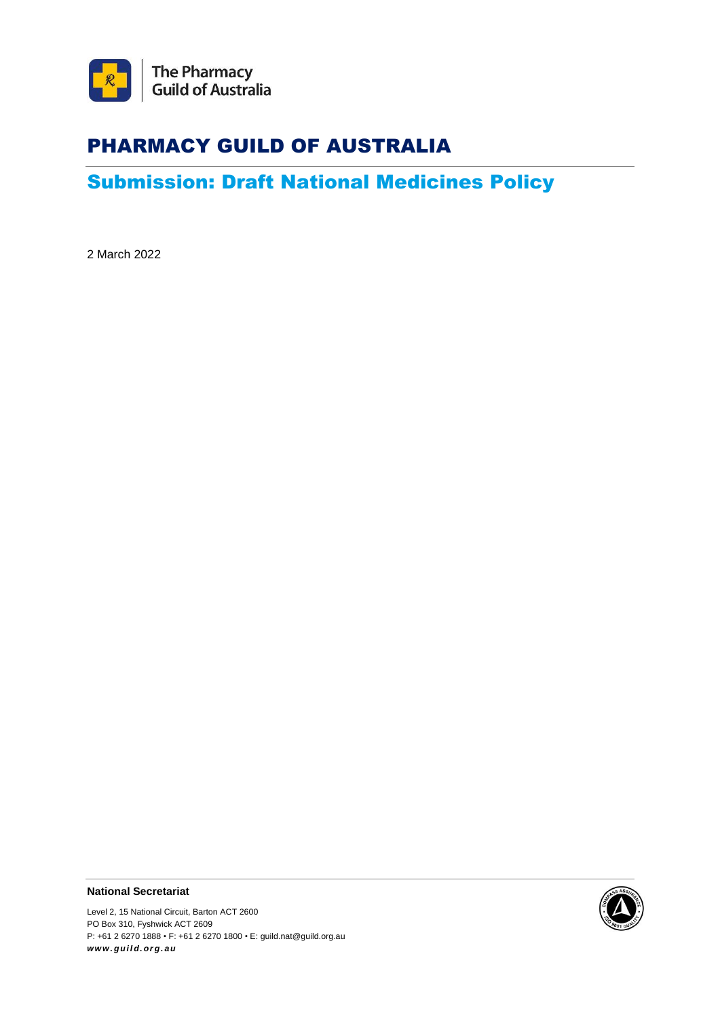

# PHARMACY GUILD OF AUSTRALIA

# Submission: Draft National Medicines Policy

2 March 2022

**National Secretariat**

Level 2, 15 National Circuit, Barton ACT 2600 PO Box 310, Fyshwick ACT 2609 P: +61 2 6270 1888 • F: +61 2 6270 1800 • E: guild.nat@guild.org.au *ww w . g ui l d. or g . au*

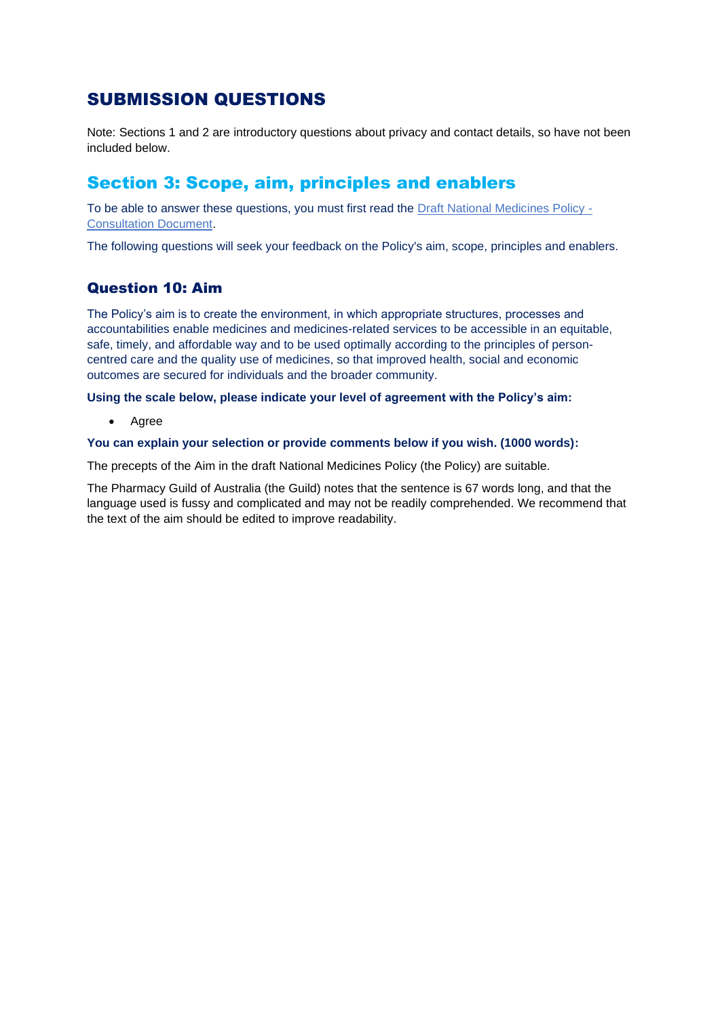## SUBMISSION QUESTIONS

Note: Sections 1 and 2 are introductory questions about privacy and contact details, so have not been included below.

### Section 3: Scope, aim, principles and enablers

To be able to answer these questions, you must first read the [Draft National Medicines Policy -](https://consultations.health.gov.au/technology-assessment-access-division/consultation-draft-national-medicines-policy/supporting_documents/Draft%20National%20Medicines%20Policy%20%20Consultation%20Document.pdf) [Consultation Document.](https://consultations.health.gov.au/technology-assessment-access-division/consultation-draft-national-medicines-policy/supporting_documents/Draft%20National%20Medicines%20Policy%20%20Consultation%20Document.pdf)

The following questions will seek your feedback on the Policy's aim, scope, principles and enablers.

### Question 10: Aim

The Policy's aim is to create the environment, in which appropriate structures, processes and accountabilities enable medicines and medicines-related services to be accessible in an equitable, safe, timely, and affordable way and to be used optimally according to the principles of personcentred care and the quality use of medicines, so that improved health, social and economic outcomes are secured for individuals and the broader community.

### **Using the scale below, please indicate your level of agreement with the Policy's aim:**

• Agree

### **You can explain your selection or provide comments below if you wish. (1000 words):**

The precepts of the Aim in the draft National Medicines Policy (the Policy) are suitable.

The Pharmacy Guild of Australia (the Guild) notes that the sentence is 67 words long, and that the language used is fussy and complicated and may not be readily comprehended. We recommend that the text of the aim should be edited to improve readability.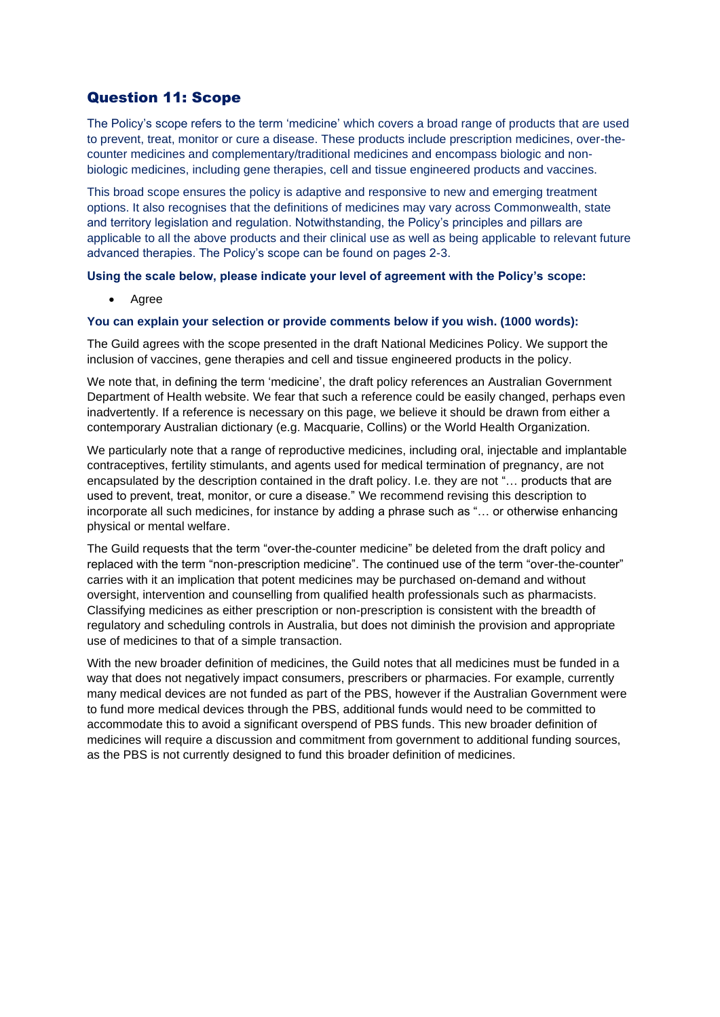### Question 11: Scope

The Policy's scope refers to the term 'medicine' which covers a broad range of products that are used to prevent, treat, monitor or cure a disease. These products include prescription medicines, over-thecounter medicines and complementary/traditional medicines and encompass biologic and nonbiologic medicines, including gene therapies, cell and tissue engineered products and vaccines.

This broad scope ensures the policy is adaptive and responsive to new and emerging treatment options. It also recognises that the definitions of medicines may vary across Commonwealth, state and territory legislation and regulation. Notwithstanding, the Policy's principles and pillars are applicable to all the above products and their clinical use as well as being applicable to relevant future advanced therapies. The Policy's scope can be found on pages 2-3.

#### **Using the scale below, please indicate your level of agreement with the Policy's scope:**

• Agree

#### **You can explain your selection or provide comments below if you wish. (1000 words):**

The Guild agrees with the scope presented in the draft National Medicines Policy. We support the inclusion of vaccines, gene therapies and cell and tissue engineered products in the policy.

We note that, in defining the term 'medicine', the draft policy references an Australian Government Department of Health website. We fear that such a reference could be easily changed, perhaps even inadvertently. If a reference is necessary on this page, we believe it should be drawn from either a contemporary Australian dictionary (e.g. Macquarie, Collins) or the World Health Organization.

We particularly note that a range of reproductive medicines, including oral, injectable and implantable contraceptives, fertility stimulants, and agents used for medical termination of pregnancy, are not encapsulated by the description contained in the draft policy. I.e. they are not "… products that are used to prevent, treat, monitor, or cure a disease." We recommend revising this description to incorporate all such medicines, for instance by adding a phrase such as "… or otherwise enhancing physical or mental welfare.

The Guild requests that the term "over-the-counter medicine" be deleted from the draft policy and replaced with the term "non-prescription medicine". The continued use of the term "over-the-counter" carries with it an implication that potent medicines may be purchased on-demand and without oversight, intervention and counselling from qualified health professionals such as pharmacists. Classifying medicines as either prescription or non-prescription is consistent with the breadth of regulatory and scheduling controls in Australia, but does not diminish the provision and appropriate use of medicines to that of a simple transaction.

With the new broader definition of medicines, the Guild notes that all medicines must be funded in a way that does not negatively impact consumers, prescribers or pharmacies. For example, currently many medical devices are not funded as part of the PBS, however if the Australian Government were to fund more medical devices through the PBS, additional funds would need to be committed to accommodate this to avoid a significant overspend of PBS funds. This new broader definition of medicines will require a discussion and commitment from government to additional funding sources, as the PBS is not currently designed to fund this broader definition of medicines.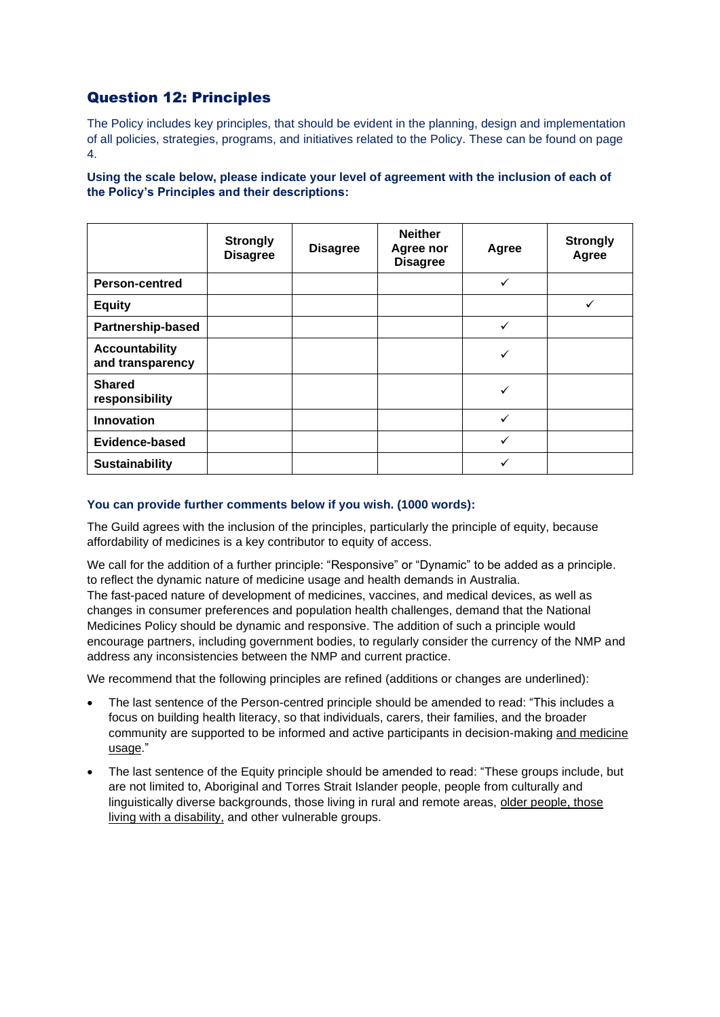### Question 12: Principles

The Policy includes key principles, that should be evident in the planning, design and implementation of all policies, strategies, programs, and initiatives related to the Policy. These can be found on page 4.

**Using the scale below, please indicate your level of agreement with the inclusion of each of the Policy's Principles and their descriptions:**

|                                           | <b>Strongly</b><br><b>Disagree</b> | <b>Disagree</b> | <b>Neither</b><br>Agree nor<br><b>Disagree</b> | Agree | <b>Strongly</b><br>Agree |
|-------------------------------------------|------------------------------------|-----------------|------------------------------------------------|-------|--------------------------|
| <b>Person-centred</b>                     |                                    |                 |                                                | ✓     |                          |
| <b>Equity</b>                             |                                    |                 |                                                |       | ✓                        |
| <b>Partnership-based</b>                  |                                    |                 |                                                | ✓     |                          |
| <b>Accountability</b><br>and transparency |                                    |                 |                                                | ✓     |                          |
| <b>Shared</b><br>responsibility           |                                    |                 |                                                | ✓     |                          |
| <b>Innovation</b>                         |                                    |                 |                                                | ✓     |                          |
| Evidence-based                            |                                    |                 |                                                | ✓     |                          |
| <b>Sustainability</b>                     |                                    |                 |                                                | ✓     |                          |

#### **You can provide further comments below if you wish. (1000 words):**

The Guild agrees with the inclusion of the principles, particularly the principle of equity, because affordability of medicines is a key contributor to equity of access.

We call for the addition of a further principle: "Responsive" or "Dynamic" to be added as a principle. to reflect the dynamic nature of medicine usage and health demands in Australia. The fast-paced nature of development of medicines, vaccines, and medical devices, as well as changes in consumer preferences and population health challenges, demand that the National Medicines Policy should be dynamic and responsive. The addition of such a principle would encourage partners, including government bodies, to regularly consider the currency of the NMP and address any inconsistencies between the NMP and current practice.

We recommend that the following principles are refined (additions or changes are underlined):

- The last sentence of the Person-centred principle should be amended to read: "This includes a focus on building health literacy, so that individuals, carers, their families, and the broader community are supported to be informed and active participants in decision-making and medicine usage."
- The last sentence of the Equity principle should be amended to read: "These groups include, but are not limited to, Aboriginal and Torres Strait Islander people, people from culturally and linguistically diverse backgrounds, those living in rural and remote areas, older people, those living with a disability, and other vulnerable groups.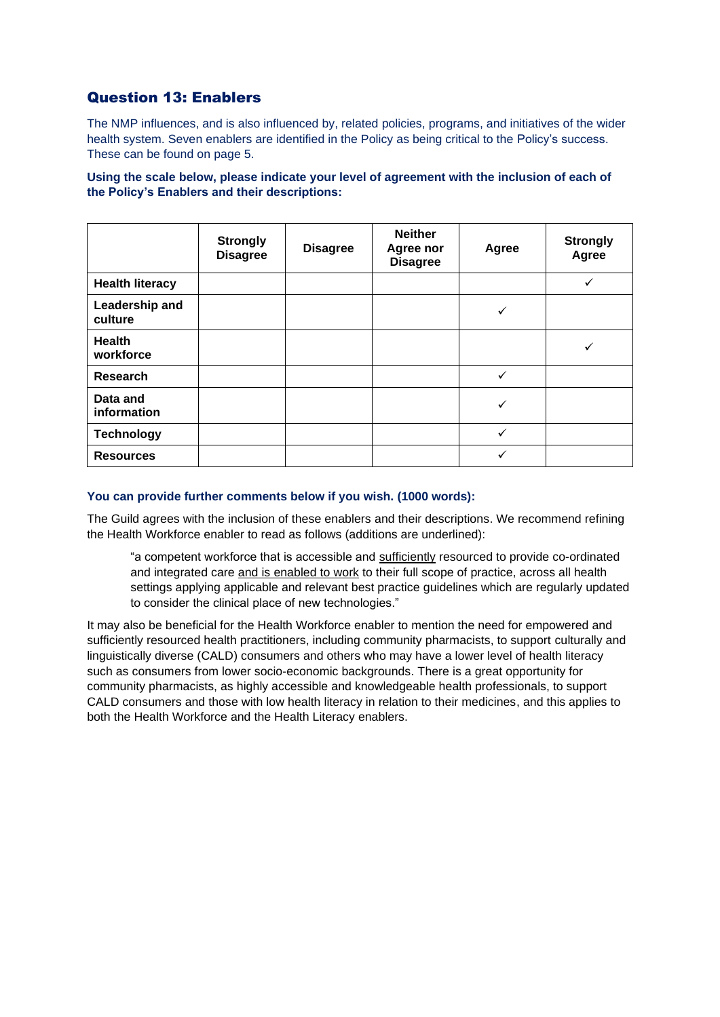### Question 13: Enablers

The NMP influences, and is also influenced by, related policies, programs, and initiatives of the wider health system. Seven enablers are identified in the Policy as being critical to the Policy's success. These can be found on page 5.

**Using the scale below, please indicate your level of agreement with the inclusion of each of the Policy's Enablers and their descriptions:**

|                            | <b>Strongly</b><br><b>Disagree</b> | <b>Disagree</b> | <b>Neither</b><br>Agree nor<br><b>Disagree</b> | Agree        | <b>Strongly</b><br>Agree |
|----------------------------|------------------------------------|-----------------|------------------------------------------------|--------------|--------------------------|
| <b>Health literacy</b>     |                                    |                 |                                                |              | v                        |
| Leadership and<br>culture  |                                    |                 |                                                | ✓            |                          |
| <b>Health</b><br>workforce |                                    |                 |                                                |              |                          |
| Research                   |                                    |                 |                                                | $\checkmark$ |                          |
| Data and<br>information    |                                    |                 |                                                | ✓            |                          |
| <b>Technology</b>          |                                    |                 |                                                | ✓            |                          |
| <b>Resources</b>           |                                    |                 |                                                | ✓            |                          |

### **You can provide further comments below if you wish. (1000 words):**

The Guild agrees with the inclusion of these enablers and their descriptions. We recommend refining the Health Workforce enabler to read as follows (additions are underlined):

"a competent workforce that is accessible and sufficiently resourced to provide co-ordinated and integrated care and is enabled to work to their full scope of practice, across all health settings applying applicable and relevant best practice guidelines which are regularly updated to consider the clinical place of new technologies."

It may also be beneficial for the Health Workforce enabler to mention the need for empowered and sufficiently resourced health practitioners, including community pharmacists, to support culturally and linguistically diverse (CALD) consumers and others who may have a lower level of health literacy such as consumers from lower socio-economic backgrounds. There is a great opportunity for community pharmacists, as highly accessible and knowledgeable health professionals, to support CALD consumers and those with low health literacy in relation to their medicines, and this applies to both the Health Workforce and the Health Literacy enablers.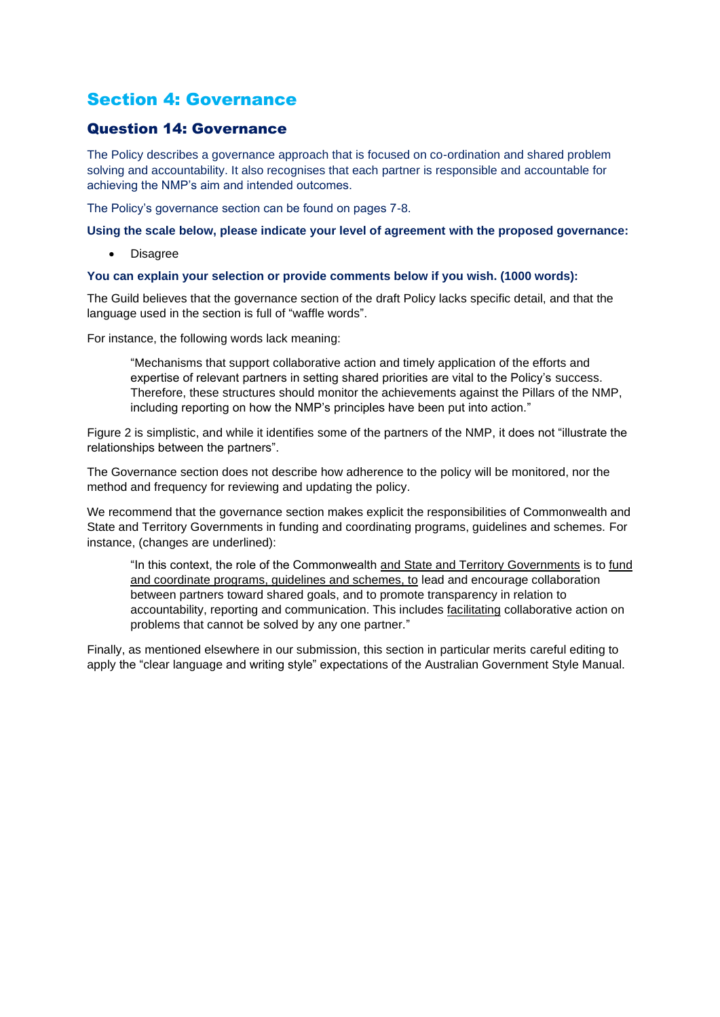## Section 4: Governance

### Question 14: Governance

The Policy describes a governance approach that is focused on co-ordination and shared problem solving and accountability. It also recognises that each partner is responsible and accountable for achieving the NMP's aim and intended outcomes.

The Policy's governance section can be found on pages 7-8.

#### **Using the scale below, please indicate your level of agreement with the proposed governance:**

• Disagree

#### **You can explain your selection or provide comments below if you wish. (1000 words):**

The Guild believes that the governance section of the draft Policy lacks specific detail, and that the language used in the section is full of "waffle words".

For instance, the following words lack meaning:

"Mechanisms that support collaborative action and timely application of the efforts and expertise of relevant partners in setting shared priorities are vital to the Policy's success. Therefore, these structures should monitor the achievements against the Pillars of the NMP, including reporting on how the NMP's principles have been put into action."

Figure 2 is simplistic, and while it identifies some of the partners of the NMP, it does not "illustrate the relationships between the partners".

The Governance section does not describe how adherence to the policy will be monitored, nor the method and frequency for reviewing and updating the policy.

We recommend that the governance section makes explicit the responsibilities of Commonwealth and State and Territory Governments in funding and coordinating programs, guidelines and schemes. For instance, (changes are underlined):

"In this context, the role of the Commonwealth and State and Territory Governments is to fund and coordinate programs, guidelines and schemes, to lead and encourage collaboration between partners toward shared goals, and to promote transparency in relation to accountability, reporting and communication. This includes facilitating collaborative action on problems that cannot be solved by any one partner."

Finally, as mentioned elsewhere in our submission, this section in particular merits careful editing to apply the "clear language and writing style" expectations of the Australian Government Style Manual.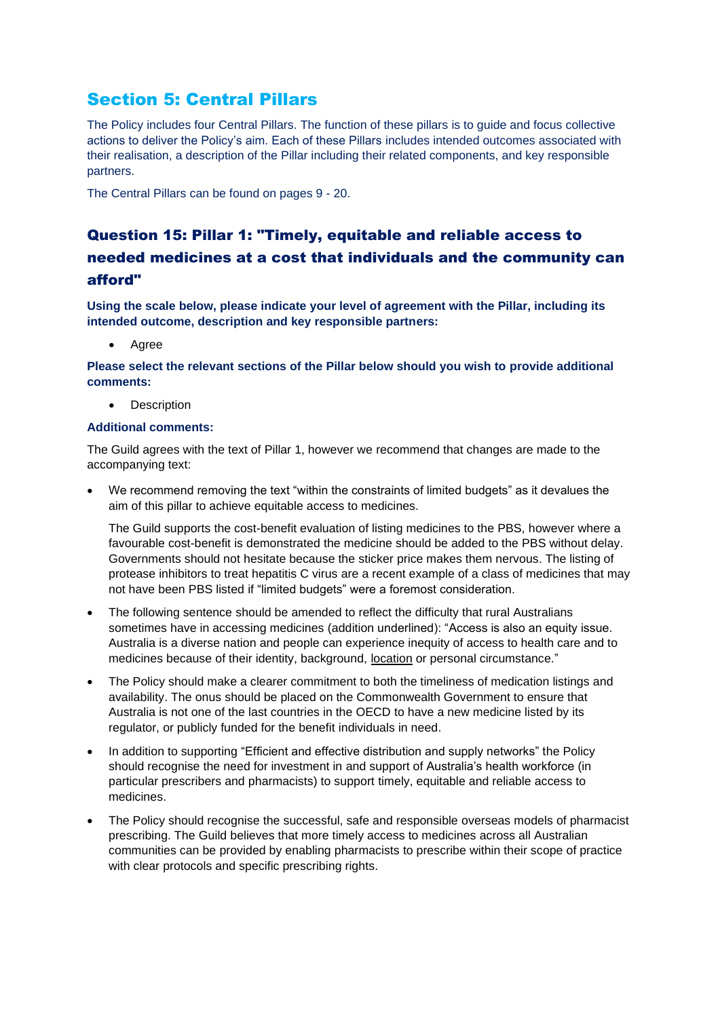## Section 5: Central Pillars

The Policy includes four Central Pillars. The function of these pillars is to guide and focus collective actions to deliver the Policy's aim. Each of these Pillars includes intended outcomes associated with their realisation, a description of the Pillar including their related components, and key responsible partners.

The Central Pillars can be found on pages 9 - 20.

## Question 15: Pillar 1: "Timely, equitable and reliable access to needed medicines at a cost that individuals and the community can afford"

**Using the scale below, please indicate your level of agreement with the Pillar, including its intended outcome, description and key responsible partners:**

• Agree

**Please select the relevant sections of the Pillar below should you wish to provide additional comments:**

**Description** 

### **Additional comments:**

The Guild agrees with the text of Pillar 1, however we recommend that changes are made to the accompanying text:

• We recommend removing the text "within the constraints of limited budgets" as it devalues the aim of this pillar to achieve equitable access to medicines.

The Guild supports the cost-benefit evaluation of listing medicines to the PBS, however where a favourable cost-benefit is demonstrated the medicine should be added to the PBS without delay. Governments should not hesitate because the sticker price makes them nervous. The listing of protease inhibitors to treat hepatitis C virus are a recent example of a class of medicines that may not have been PBS listed if "limited budgets" were a foremost consideration.

- The following sentence should be amended to reflect the difficulty that rural Australians sometimes have in accessing medicines (addition underlined): "Access is also an equity issue. Australia is a diverse nation and people can experience inequity of access to health care and to medicines because of their identity, background, location or personal circumstance."
- The Policy should make a clearer commitment to both the timeliness of medication listings and availability. The onus should be placed on the Commonwealth Government to ensure that Australia is not one of the last countries in the OECD to have a new medicine listed by its regulator, or publicly funded for the benefit individuals in need.
- In addition to supporting "Efficient and effective distribution and supply networks" the Policy should recognise the need for investment in and support of Australia's health workforce (in particular prescribers and pharmacists) to support timely, equitable and reliable access to medicines.
- The Policy should recognise the successful, safe and responsible overseas models of pharmacist prescribing. The Guild believes that more timely access to medicines across all Australian communities can be provided by enabling pharmacists to prescribe within their scope of practice with clear protocols and specific prescribing rights.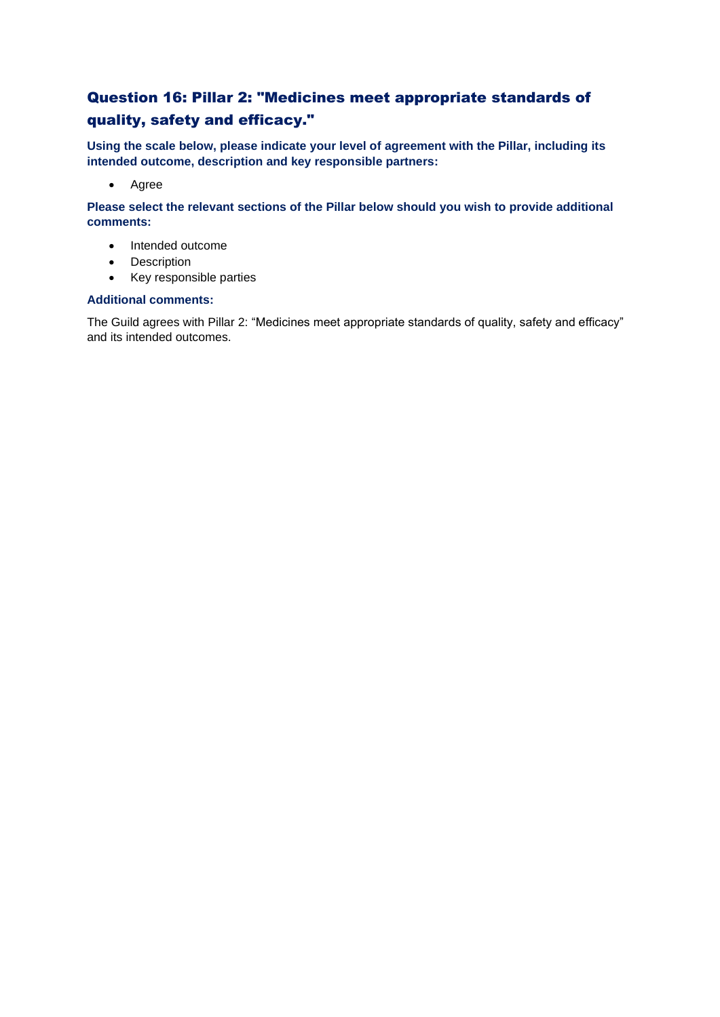### Question 16: Pillar 2: "Medicines meet appropriate standards of quality, safety and efficacy."

**Using the scale below, please indicate your level of agreement with the Pillar, including its intended outcome, description and key responsible partners:**

• Agree

**Please select the relevant sections of the Pillar below should you wish to provide additional comments:**

- Intended outcome
- Description
- Key responsible parties

### **Additional comments:**

The Guild agrees with Pillar 2: "Medicines meet appropriate standards of quality, safety and efficacy" and its intended outcomes.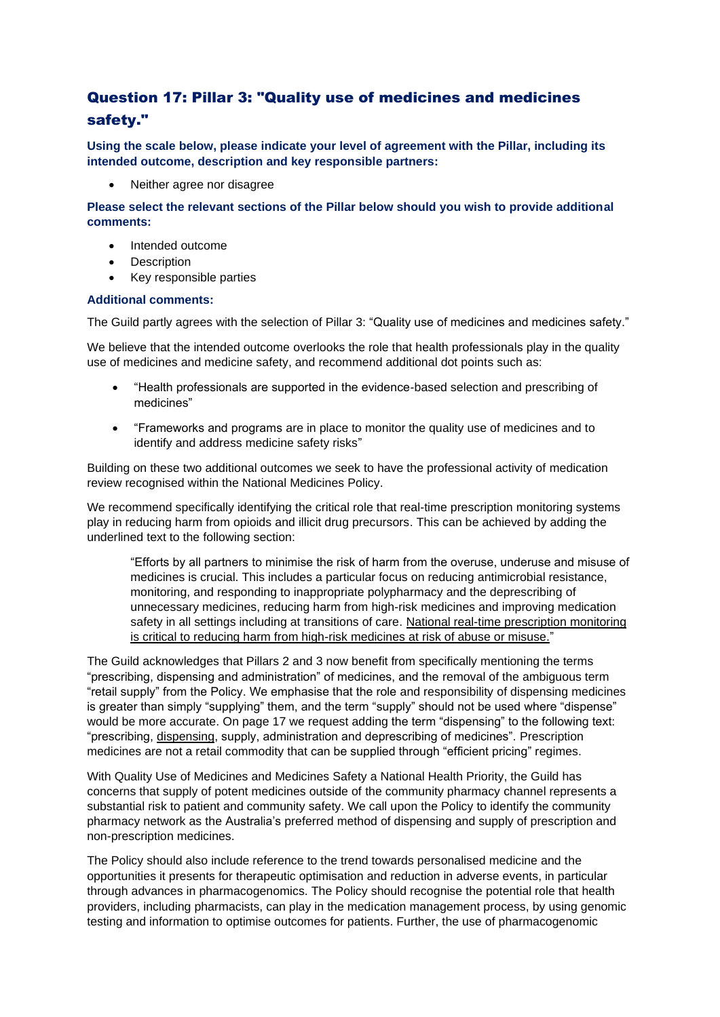### Question 17: Pillar 3: "Quality use of medicines and medicines safety."

**Using the scale below, please indicate your level of agreement with the Pillar, including its intended outcome, description and key responsible partners:**

• Neither agree nor disagree

**Please select the relevant sections of the Pillar below should you wish to provide additional comments:**

- Intended outcome
- **Description**
- Key responsible parties

#### **Additional comments:**

The Guild partly agrees with the selection of Pillar 3: "Quality use of medicines and medicines safety."

We believe that the intended outcome overlooks the role that health professionals play in the quality use of medicines and medicine safety, and recommend additional dot points such as:

- "Health professionals are supported in the evidence-based selection and prescribing of medicines"
- "Frameworks and programs are in place to monitor the quality use of medicines and to identify and address medicine safety risks"

Building on these two additional outcomes we seek to have the professional activity of medication review recognised within the National Medicines Policy.

We recommend specifically identifying the critical role that real-time prescription monitoring systems play in reducing harm from opioids and illicit drug precursors. This can be achieved by adding the underlined text to the following section:

"Efforts by all partners to minimise the risk of harm from the overuse, underuse and misuse of medicines is crucial. This includes a particular focus on reducing antimicrobial resistance, monitoring, and responding to inappropriate polypharmacy and the deprescribing of unnecessary medicines, reducing harm from high-risk medicines and improving medication safety in all settings including at transitions of care. National real-time prescription monitoring is critical to reducing harm from high-risk medicines at risk of abuse or misuse."

The Guild acknowledges that Pillars 2 and 3 now benefit from specifically mentioning the terms "prescribing, dispensing and administration" of medicines, and the removal of the ambiguous term "retail supply" from the Policy. We emphasise that the role and responsibility of dispensing medicines is greater than simply "supplying" them, and the term "supply" should not be used where "dispense" would be more accurate. On page 17 we request adding the term "dispensing" to the following text: "prescribing, dispensing, supply, administration and deprescribing of medicines". Prescription medicines are not a retail commodity that can be supplied through "efficient pricing" regimes.

With Quality Use of Medicines and Medicines Safety a National Health Priority, the Guild has concerns that supply of potent medicines outside of the community pharmacy channel represents a substantial risk to patient and community safety. We call upon the Policy to identify the community pharmacy network as the Australia's preferred method of dispensing and supply of prescription and non-prescription medicines.

The Policy should also include reference to the trend towards personalised medicine and the opportunities it presents for therapeutic optimisation and reduction in adverse events, in particular through advances in pharmacogenomics. The Policy should recognise the potential role that health providers, including pharmacists, can play in the medication management process, by using genomic testing and information to optimise outcomes for patients. Further, the use of pharmacogenomic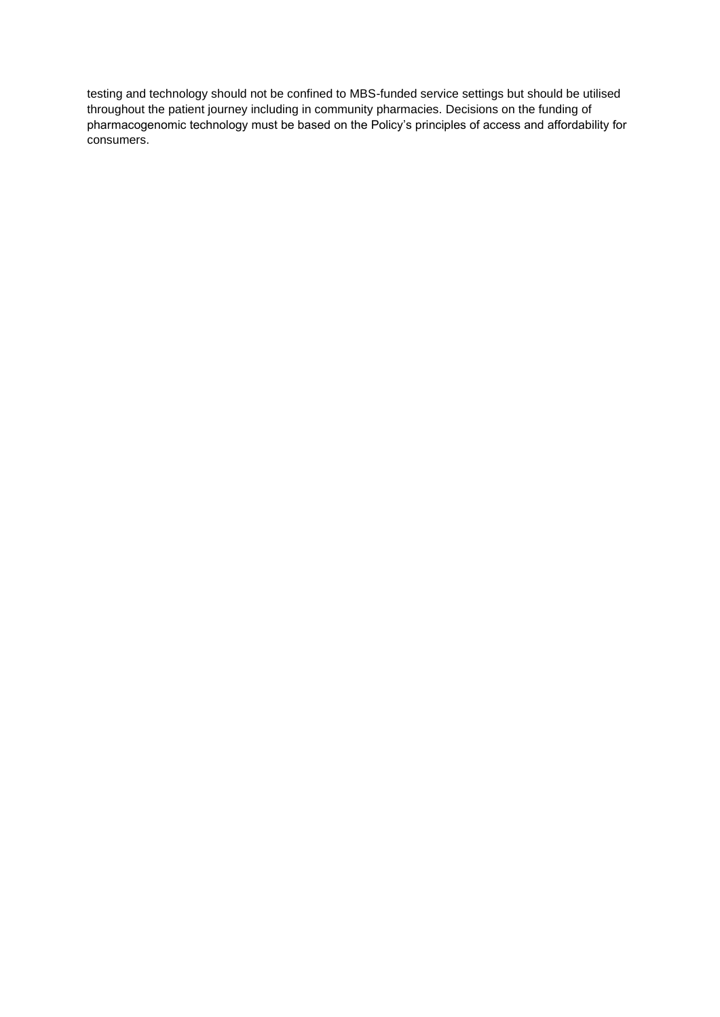testing and technology should not be confined to MBS-funded service settings but should be utilised throughout the patient journey including in community pharmacies. Decisions on the funding of pharmacogenomic technology must be based on the Policy's principles of access and affordability for consumers.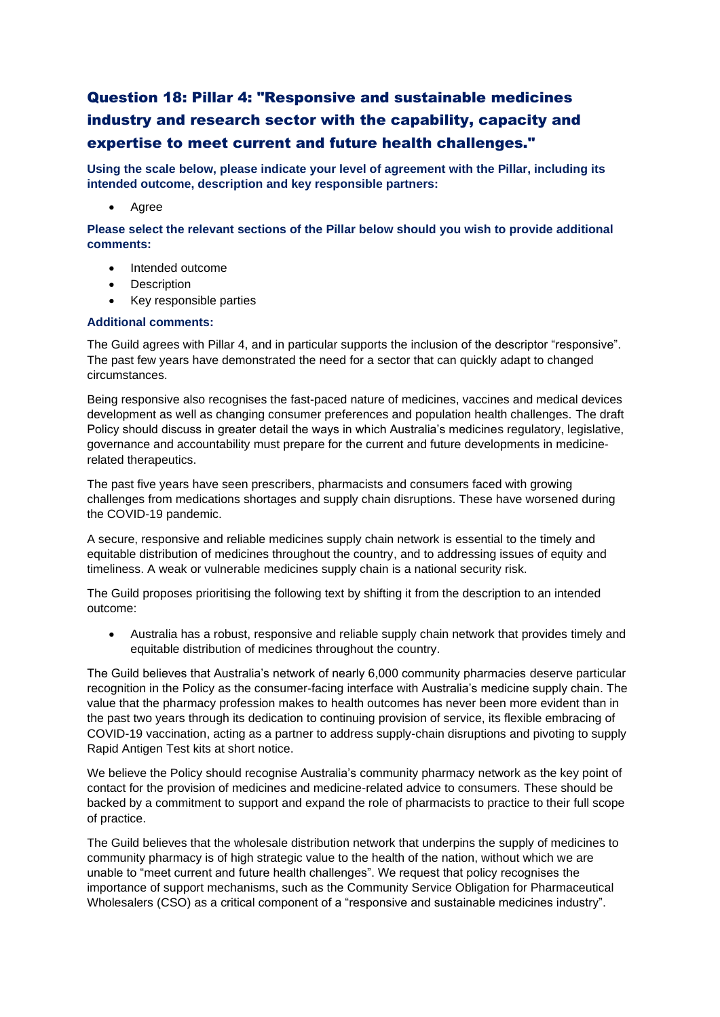## Question 18: Pillar 4: "Responsive and sustainable medicines industry and research sector with the capability, capacity and expertise to meet current and future health challenges."

**Using the scale below, please indicate your level of agreement with the Pillar, including its intended outcome, description and key responsible partners:**

• Agree

**Please select the relevant sections of the Pillar below should you wish to provide additional comments:**

- Intended outcome
- **Description**
- Key responsible parties

### **Additional comments:**

The Guild agrees with Pillar 4, and in particular supports the inclusion of the descriptor "responsive". The past few years have demonstrated the need for a sector that can quickly adapt to changed circumstances.

Being responsive also recognises the fast-paced nature of medicines, vaccines and medical devices development as well as changing consumer preferences and population health challenges. The draft Policy should discuss in greater detail the ways in which Australia's medicines regulatory, legislative, governance and accountability must prepare for the current and future developments in medicinerelated therapeutics.

The past five years have seen prescribers, pharmacists and consumers faced with growing challenges from medications shortages and supply chain disruptions. These have worsened during the COVID-19 pandemic.

A secure, responsive and reliable medicines supply chain network is essential to the timely and equitable distribution of medicines throughout the country, and to addressing issues of equity and timeliness. A weak or vulnerable medicines supply chain is a national security risk.

The Guild proposes prioritising the following text by shifting it from the description to an intended outcome:

• Australia has a robust, responsive and reliable supply chain network that provides timely and equitable distribution of medicines throughout the country.

The Guild believes that Australia's network of nearly 6,000 community pharmacies deserve particular recognition in the Policy as the consumer-facing interface with Australia's medicine supply chain. The value that the pharmacy profession makes to health outcomes has never been more evident than in the past two years through its dedication to continuing provision of service, its flexible embracing of COVID-19 vaccination, acting as a partner to address supply-chain disruptions and pivoting to supply Rapid Antigen Test kits at short notice.

We believe the Policy should recognise Australia's community pharmacy network as the key point of contact for the provision of medicines and medicine-related advice to consumers. These should be backed by a commitment to support and expand the role of pharmacists to practice to their full scope of practice.

The Guild believes that the wholesale distribution network that underpins the supply of medicines to community pharmacy is of high strategic value to the health of the nation, without which we are unable to "meet current and future health challenges". We request that policy recognises the importance of support mechanisms, such as the Community Service Obligation for Pharmaceutical Wholesalers (CSO) as a critical component of a "responsive and sustainable medicines industry".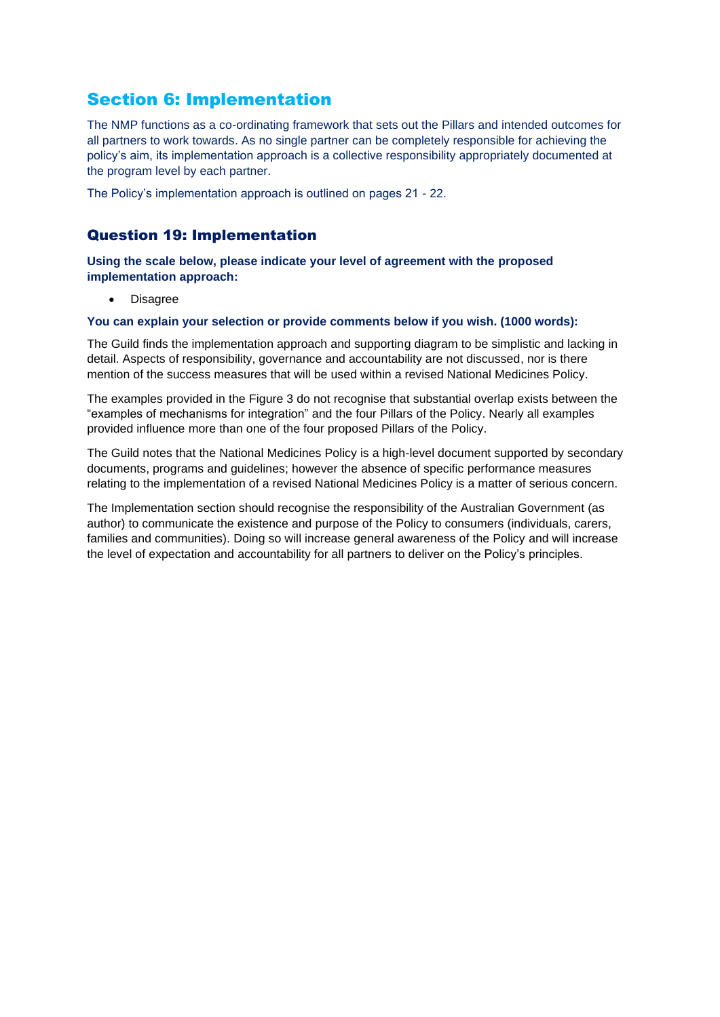## Section 6: Implementation

The NMP functions as a co-ordinating framework that sets out the Pillars and intended outcomes for all partners to work towards. As no single partner can be completely responsible for achieving the policy's aim, its implementation approach is a collective responsibility appropriately documented at the program level by each partner.

The Policy's implementation approach is outlined on pages 21 - 22.

### Question 19: Implementation

**Using the scale below, please indicate your level of agreement with the proposed implementation approach:**

• Disagree

### **You can explain your selection or provide comments below if you wish. (1000 words):**

The Guild finds the implementation approach and supporting diagram to be simplistic and lacking in detail. Aspects of responsibility, governance and accountability are not discussed, nor is there mention of the success measures that will be used within a revised National Medicines Policy.

The examples provided in the Figure 3 do not recognise that substantial overlap exists between the "examples of mechanisms for integration" and the four Pillars of the Policy. Nearly all examples provided influence more than one of the four proposed Pillars of the Policy.

The Guild notes that the National Medicines Policy is a high-level document supported by secondary documents, programs and guidelines; however the absence of specific performance measures relating to the implementation of a revised National Medicines Policy is a matter of serious concern.

The Implementation section should recognise the responsibility of the Australian Government (as author) to communicate the existence and purpose of the Policy to consumers (individuals, carers, families and communities). Doing so will increase general awareness of the Policy and will increase the level of expectation and accountability for all partners to deliver on the Policy's principles.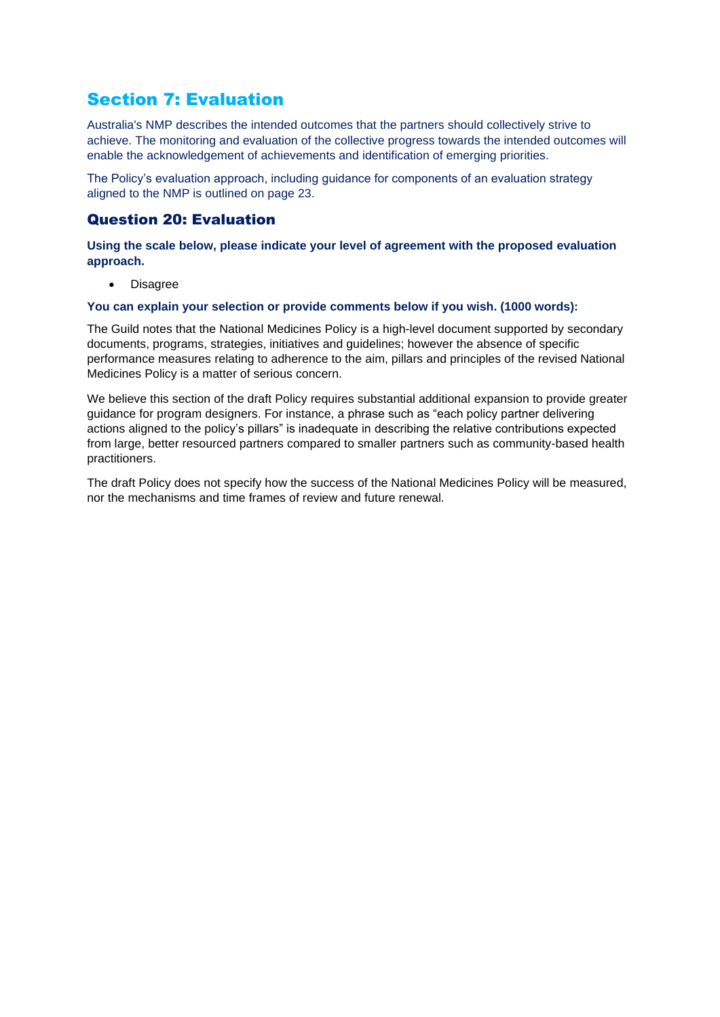## Section 7: Evaluation

Australia's NMP describes the intended outcomes that the partners should collectively strive to achieve. The monitoring and evaluation of the collective progress towards the intended outcomes will enable the acknowledgement of achievements and identification of emerging priorities.

The Policy's evaluation approach, including guidance for components of an evaluation strategy aligned to the NMP is outlined on page 23.

### Question 20: Evaluation

**Using the scale below, please indicate your level of agreement with the proposed evaluation approach.**

• Disagree

#### **You can explain your selection or provide comments below if you wish. (1000 words):**

The Guild notes that the National Medicines Policy is a high-level document supported by secondary documents, programs, strategies, initiatives and guidelines; however the absence of specific performance measures relating to adherence to the aim, pillars and principles of the revised National Medicines Policy is a matter of serious concern.

We believe this section of the draft Policy requires substantial additional expansion to provide greater guidance for program designers. For instance, a phrase such as "each policy partner delivering actions aligned to the policy's pillars" is inadequate in describing the relative contributions expected from large, better resourced partners compared to smaller partners such as community-based health practitioners.

The draft Policy does not specify how the success of the National Medicines Policy will be measured, nor the mechanisms and time frames of review and future renewal.